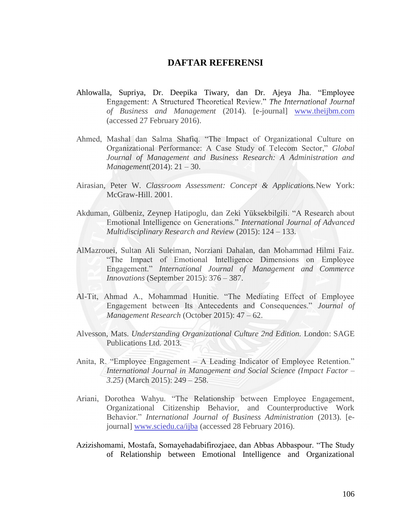## **DAFTAR REFERENSI**

- Ahlowalla, Supriya, Dr. Deepika Tiwary, dan Dr. Ajeya Jha. "Employee Engagement: A Structured Theoretical Review." *The International Journal of Business and Management* (2014). [e-journal] [www.theijbm.com](http://www.theijbm.com/) (accessed 27 February 2016).
- Ahmed, Mashal dan Salma Shafiq. "The Impact of Organizational Culture on Organizational Performance: A Case Study of Telecom Sector," *Global Journal of Management and Business Research: A Administration and Management*(2014): 21 – 30.
- Airasian, Peter W. *Classroom Assessment: Concept & Applications.*New York: McGraw-Hill. 2001.
- Akduman, Gülbeniz, Zeynep Hatipoglu, dan Zeki Yüksekbilgili. "A Research about Emotional Intelligence on Generations." *International Journal of Advanced Multidisciplinary Research and Review* (2015): 124 – 133.
- AlMazrouei, Sultan Ali Suleiman, Norziani Dahalan, dan Mohammad Hilmi Faiz. "The Impact of Emotional Intelligence Dimensions on Employee Engagement." *International Journal of Management and Commerce Innovations* (September 2015): 376 – 387.
- Al-Tit, Ahmad A., Mohammad Hunitie. "The Mediating Effect of Employee Engagement between Its Antecedents and Consequences." *Journal of Management Research* (October 2015): 47 – 62.
- Alvesson, Mats. *Understanding Organizational Culture 2nd Edition.* London: SAGE Publications Ltd. 2013.
- Anita, R. "Employee Engagement A Leading Indicator of Employee Retention." *International Journal in Management and Social Science (Impact Factor – 3.25)* (March 2015): 249 – 258.
- Ariani, Dorothea Wahyu. "The Relationship between Employee Engagement, Organizational Citizenship Behavior, and Counterproductive Work Behavior." *International Journal of Business Administration* (2013). [ejournal] [www.sciedu.ca/ijba](http://www.sciedu.ca/ijba) (accessed 28 February 2016).
- Azizishomami, Mostafa, Somayehadabifirozjaee, dan Abbas Abbaspour. "The Study of Relationship between Emotional Intelligence and Organizational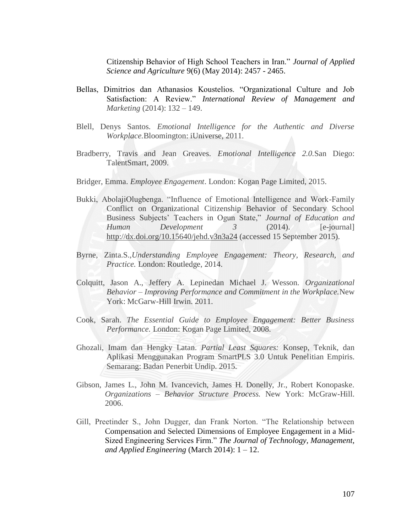Citizenship Behavior of High School Teachers in Iran." *Journal of Applied Science and Agriculture* 9(6) (May 2014): 2457 - 2465.

- Bellas, Dimitrios dan Athanasios Koustelios. "Organizational Culture and Job Satisfaction: A Review." *International Review of Management and Marketing* (2014): 132 – 149.
- Blell, Denys Santos. *Emotional Intelligence for the Authentic and Diverse Workplace.*Bloomington: iUniverse, 2011.
- Bradberry, Travis and Jean Greaves. *Emotional Intelligence 2.0.*San Diego: TalentSmart, 2009.
- Bridger, Emma. *Employee Engagement*. London: Kogan Page Limited, 2015.
- Bukki, AbolajiOlugbenga. "Influence of Emotional Intelligence and Work-Family Conflict on Organizational Citizenship Behavior of Secondary School Business Subjects' Teachers in Ogun State," *Journal of Education and Human Development 3* (2014). [e-journal] <http://dx.doi.org/10.15640/jehd.v3n3a24> (accessed 15 September 2015).
- Byrne, Zinta.S.,*Understanding Employee Engagement: Theory, Research, and Practice.* London: Routledge, 2014.
- Colquitt, Jason A., Jeffery A. Lepinedan Michael J. Wesson. *Organizational Behavior – Improving Performance and Commitment in the Workplace.*New York: McGarw-Hill Irwin. 2011.
- Cook, Sarah. *The Essential Guide to Employee Engagement: Better Business Performance.* London: Kogan Page Limited, 2008.
- Ghozali, Imam dan Hengky Latan. *Partial Least Squares:* Konsep, Teknik, dan Aplikasi Menggunakan Program SmartPLS 3.0 Untuk Penelitian Empiris. Semarang: Badan Penerbit Undip. 2015.
- Gibson, James L., John M. Ivancevich, James H. Donelly, Jr., Robert Konopaske. *Organizations – Behavior Structure Process.* New York: McGraw-Hill. 2006.
- Gill, Preetinder S., John Dugger, dan Frank Norton. "The Relationship between Compensation and Selected Dimensions of Employee Engagement in a Mid-Sized Engineering Services Firm." *The Journal of Technology, Management, and Applied Engineering* (March 2014): 1 – 12.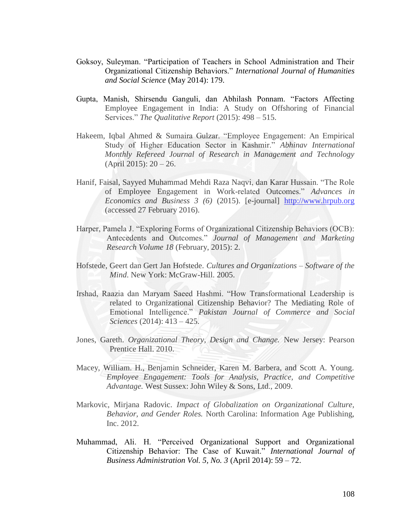- Goksoy, Suleyman. "Participation of Teachers in School Administration and Their Organizational Citizenship Behaviors." *International Journal of Humanities and Social Science* (May 2014): 179.
- Gupta, Manish, Shirsendu Ganguli, dan Abhilash Ponnam. "Factors Affecting Employee Engagement in India: A Study on Offshoring of Financial Services." *The Qualitative Report* (2015): 498 – 515.
- Hakeem, Iqbal Ahmed & Sumaira Gulzar. "Employee Engagement: An Empirical Study of Higher Education Sector in Kashmir." *Abhinav International Monthly Refereed Journal of Research in Management and Technology* (April 2015): 20 – 26.
- Hanif, Faisal, Sayyed Muhammad Mehdi Raza Naqvi, dan Karar Hussain. "The Role of Employee Engagement in Work-related Outcomes." *Advances in Economics and Business 3 (6)* (2015). [e-journal] [http://www.hrpub.org](http://www.hrpub.org/) (accessed 27 February 2016).
- Harper, Pamela J. "Exploring Forms of Organizational Citizenship Behaviors (OCB): Antecedents and Outcomes." *Journal of Management and Marketing Research Volume 18* (February, 2015): 2.
- Hofstede, Geert dan Gert Jan Hofstede. *Cultures and Organizations – Software of the Mind*. New York: McGraw-Hill. 2005.
- Irshad, Raazia dan Maryam Saeed Hashmi. "How Transformational Leadership is related to Organizational Citizenship Behavior? The Mediating Role of Emotional Intelligence." *Pakistan Journal of Commerce and Social Sciences* (2014): 413 – 425.
- Jones, Gareth. *Organizational Theory, Design and Change.* New Jersey: Pearson Prentice Hall. 2010.
- Macey, William. H., Benjamin Schneider, Karen M. Barbera, and Scott A. Young. *Employee Engagement: Tools for Analysis, Practice, and Competitive Advantage.* West Sussex: John Wiley & Sons, Ltd., 2009.
- Markovic, Mirjana Radovic. *Impact of Globalization on Organizational Culture, Behavior, and Gender Roles.* North Carolina: Information Age Publishing, Inc. 2012.
- Muhammad, Ali. H. "Perceived Organizational Support and Organizational Citizenship Behavior: The Case of Kuwait." *International Journal of Business Administration Vol. 5, No. 3* (April 2014): 59 – 72.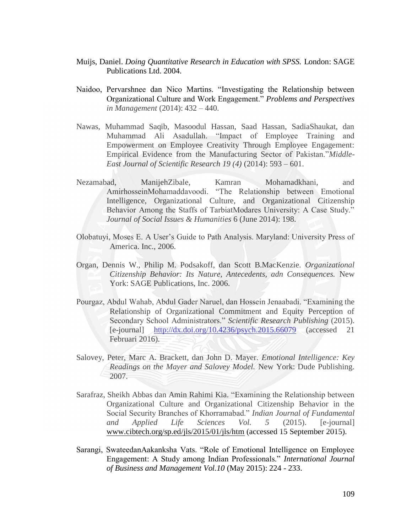- Muijs, Daniel. *Doing Quantitative Research in Education with SPSS.* London: SAGE Publications Ltd. 2004.
- Naidoo, Pervarshnee dan Nico Martins. "Investigating the Relationship between Organizational Culture and Work Engagement." *Problems and Perspectives in Management* (2014): 432 – 440.
- Nawas, Muhammad Saqib, Masoodul Hassan, Saad Hassan, SadiaShaukat, dan Muhammad Ali Asadullah. "Impact of Employee Training and Empowerment on Employee Creativity Through Employee Engagement: Empirical Evidence from the Manufacturing Sector of Pakistan."*Middle-East Journal of Scientific Research 19 (4)* (2014): 593 – 601.
- Nezamabad, ManijehZibale, Kamran Mohamadkhani, and AmirhosseinMohamaddavoodi. "The Relationship between Emotional Intelligence, Organizational Culture, and Organizational Citizenship Behavior Among the Staffs of TarbiatModares University: A Case Study." *Journal of Social Issues & Humanities* 6 (June 2014): 198.
- Olobatuyi, Moses E. A User's Guide to Path Analysis. Maryland: University Press of America. Inc., 2006.
- Organ, Dennis W., Philip M. Podsakoff, dan Scott B.MacKenzie. *Organizational Citizenship Behavior: Its Nature, Antecedents, adn Consequences.* New York: SAGE Publications, Inc. 2006.
- Pourgaz, Abdul Wahab, Abdul Gader Naruel, dan Hossein Jenaabadi. "Examining the Relationship of Organizational Commitment and Equity Perception of Secondary School Administrators." *Scientific Research Publishing* (2015). [e-journal] <http://dx.doi.org/10.4236/psych.2015.66079> (accessed 21 Februari 2016).
- Salovey, Peter, Marc A. Brackett, dan John D. Mayer. *Emotional Intelligence: Key Readings on the Mayer and Salovey Model.* New York: Dude Publishing. 2007.
- Sarafraz, Sheikh Abbas dan Amin Rahimi Kia. "Examining the Relationship between Organizational Culture and Organizational Citizenship Behavior in the Social Security Branches of Khorramabad." *Indian Journal of Fundamental and Applied Life Sciences Vol. 5* (2015). [e-journal] [www.cibtech.org/sp.ed/jls/2015/01/jls/htm](http://www.cibtech.org/sp.ed/jls/2015/01/jls/htm) (accessed 15 September 2015).
- Sarangi, SwateedanAakanksha Vats. "Role of Emotional Intelligence on Employee Engagement: A Study among Indian Professionals." *International Journal of Business and Management Vol.10* (May 2015): 224 - 233.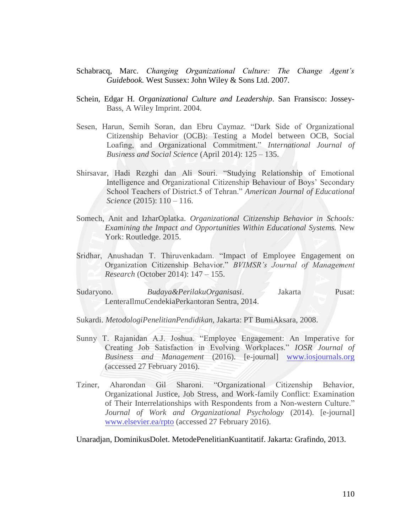- Schabracq, Marc. *Changing Organizational Culture: The Change Agent's Guidebook.* West Sussex: John Wiley & Sons Ltd. 2007.
- Schein, Edgar H. *Organizational Culture and Leadership*. San Fransisco: Jossey-Bass, A Wiley Imprint. 2004.
- Sesen, Harun, Semih Soran, dan Ebru Caymaz. "Dark Side of Organizational Citizenship Behavior (OCB): Testing a Model between OCB, Social Loafing, and Organizational Commitment." *International Journal of Business and Social Science* (April 2014): 125 – 135.
- Shirsavar, Hadi Rezghi dan Ali Souri. "Studying Relationship of Emotional Intelligence and Organizational Citizenship Behaviour of Boys' Secondary School Teachers of District.5 of Tehran." *American Journal of Educational Science* (2015): 110 – 116.
- Somech, Anit and IzharOplatka. *Organizational Citizenship Behavior in Schools: Examining the Impact and Opportunities Within Educational Systems.* New York: Routledge. 2015.
- Sridhar, Anushadan T. Thiruvenkadam. "Impact of Employee Engagement on Organization Citizenship Behavior." *BVIMSR's Journal of Management Research* (October 2014): 147 – 155.
- Sudaryono. *Budaya&PerilakuOrganisasi*. Jakarta Pusat: LenteraIlmuCendekiaPerkantoran Sentra, 2014.
- Sukardi. *MetodologiPenelitianPendidikan,* Jakarta: PT BumiAksara, 2008.
- Sunny T. Rajanidan A.J. Joshua. "Employee Engagement: An Imperative for Creating Job Satisfaction in Evolving Workplaces." *IOSR Journal of Business and Management* (2016). [e-journal] [www.iosjournals.org](http://www.iosjournals.org/) (accessed 27 February 2016).
- Tziner, Aharondan Gil Sharoni. "Organizational Citizenship Behavior, Organizational Justice, Job Stress, and Work-family Conflict: Examination of Their Interrelationships with Respondents from a Non-western Culture." *Journal of Work and Organizational Psychology* (2014). [e-journal] [www.elsevier.ea/rpto](http://www.elsevier.ea/rpto) (accessed 27 February 2016).

Unaradjan, DominikusDolet. MetodePenelitianKuantitatif. Jakarta: Grafindo, 2013.